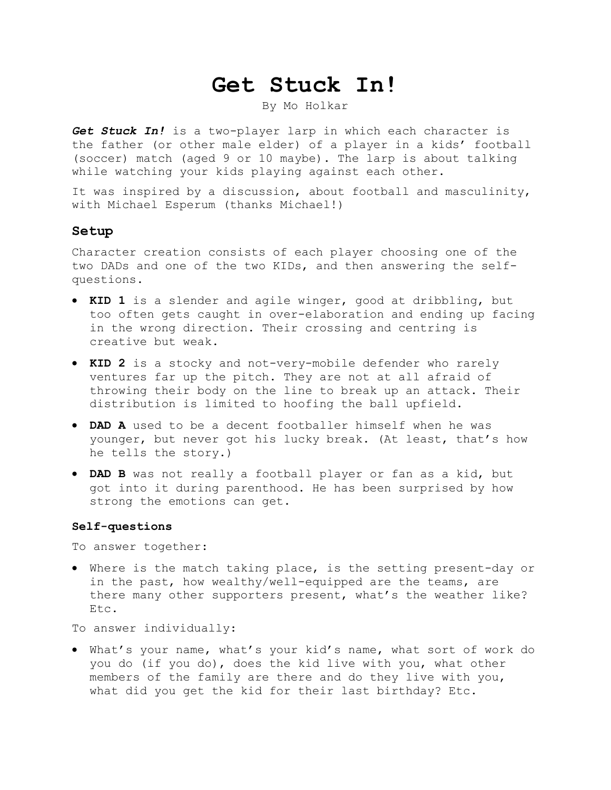# **Get Stuck In!**

By Mo Holkar

*Get Stuck In!* is a two-player larp in which each character is the father (or other male elder) of a player in a kids' football (soccer) match (aged 9 or 10 maybe). The larp is about talking while watching your kids playing against each other.

It was inspired by a discussion, about football and masculinity, with Michael Esperum (thanks Michael!)

### **Setup**

Character creation consists of each player choosing one of the two DADs and one of the two KIDs, and then answering the selfquestions.

- **KID 1** is a slender and agile winger, good at dribbling, but too often gets caught in over-elaboration and ending up facing in the wrong direction. Their crossing and centring is creative but weak.
- **KID 2** is a stocky and not-very-mobile defender who rarely ventures far up the pitch. They are not at all afraid of throwing their body on the line to break up an attack. Their distribution is limited to hoofing the ball upfield.
- **DAD A** used to be a decent footballer himself when he was younger, but never got his lucky break. (At least, that's how he tells the story.)
- **DAD B** was not really a football player or fan as a kid, but got into it during parenthood. He has been surprised by how strong the emotions can get.

#### **Self-questions**

To answer together:

 Where is the match taking place, is the setting present-day or in the past, how wealthy/well-equipped are the teams, are there many other supporters present, what's the weather like? Etc.

To answer individually:

 What's your name, what's your kid's name, what sort of work do you do (if you do), does the kid live with you, what other members of the family are there and do they live with you, what did you get the kid for their last birthday? Etc.